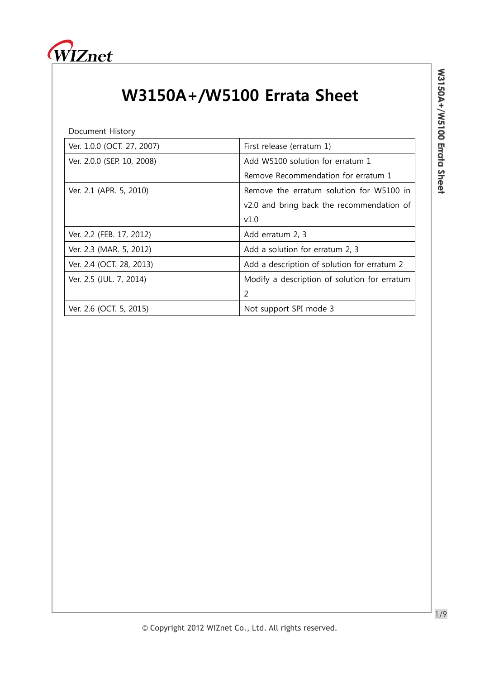

## W3150A+/W5100 Errata Sheet

Document History

| Ver. 1.0.0 (OCT. 27, 2007) | First release (erratum 1)                    |
|----------------------------|----------------------------------------------|
| Ver. 2.0.0 (SEP. 10, 2008) | Add W5100 solution for erratum 1             |
|                            | Remove Recommendation for erratum 1          |
| Ver. 2.1 (APR. 5, 2010)    | Remove the erratum solution for W5100 in     |
|                            | v2.0 and bring back the recommendation of    |
|                            | v1.0                                         |
| Ver. 2.2 (FEB. 17, 2012)   | Add erratum 2, 3                             |
| Ver. 2.3 (MAR. 5, 2012)    | Add a solution for erratum 2, 3              |
| Ver. 2.4 (OCT. 28, 2013)   | Add a description of solution for erratum 2  |
| Ver. 2.5 (JUL. 7, 2014)    | Modify a description of solution for erratum |
|                            | $\overline{2}$                               |
| Ver. 2.6 (OCT. 5, 2015)    | Not support SPI mode 3                       |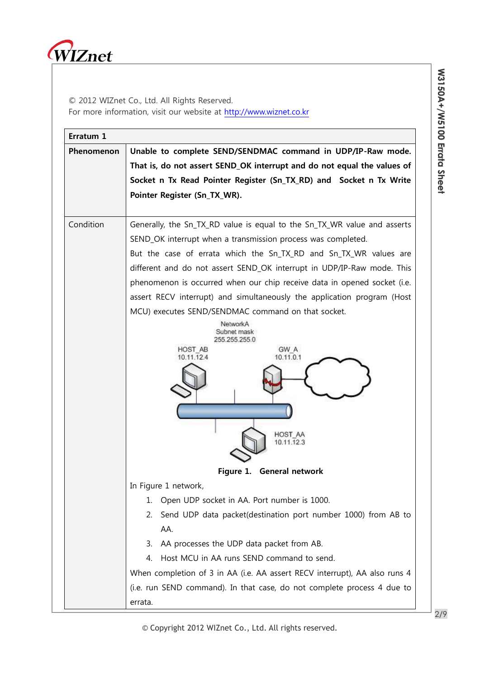

© 2012 WIZnet Co., Ltd. All Rights Reserved. For more information, visit our website at [http://www.wiznet.co.kr](http://www.wiznet.co.kr/)

| Erratum 1  |                                                                            |  |
|------------|----------------------------------------------------------------------------|--|
| Phenomenon | Unable to complete SEND/SENDMAC command in UDP/IP-Raw mode.                |  |
|            | That is, do not assert SEND_OK interrupt and do not equal the values of    |  |
|            | Socket n Tx Read Pointer Register (Sn_TX_RD) and Socket n Tx Write         |  |
|            | Pointer Register (Sn_TX_WR).                                               |  |
| Condition  | Generally, the Sn_TX_RD value is equal to the Sn_TX_WR value and asserts   |  |
|            | SEND_OK interrupt when a transmission process was completed.               |  |
|            | But the case of errata which the Sn_TX_RD and Sn_TX_WR values are          |  |
|            | different and do not assert SEND_OK interrupt in UDP/IP-Raw mode. This     |  |
|            | phenomenon is occurred when our chip receive data in opened socket (i.e.   |  |
|            | assert RECV interrupt) and simultaneously the application program (Host    |  |
|            | MCU) executes SEND/SENDMAC command on that socket.                         |  |
|            | NetworkA<br>Subnet mask                                                    |  |
|            | 255.255.255.0                                                              |  |
|            | GW A<br>HOST AB<br>10.11.0.1<br>10.11.12.4                                 |  |
|            |                                                                            |  |
|            | HOST AA<br>10.11.12.3                                                      |  |
|            | Figure 1. General network                                                  |  |
|            | In Figure 1 network,                                                       |  |
|            | Open UDP socket in AA. Port number is 1000.<br>1.                          |  |
|            | Send UDP data packet(destination port number 1000) from AB to<br>2.        |  |
|            | AA.                                                                        |  |
|            | AA processes the UDP data packet from AB.<br>3.                            |  |
|            | Host MCU in AA runs SEND command to send.<br>4.                            |  |
|            | When completion of 3 in AA (i.e. AA assert RECV interrupt), AA also runs 4 |  |
|            | (i.e. run SEND command). In that case, do not complete process 4 due to    |  |
|            | errata.                                                                    |  |

© Copyright 2012 WIZnet Co., Ltd. All rights reserved.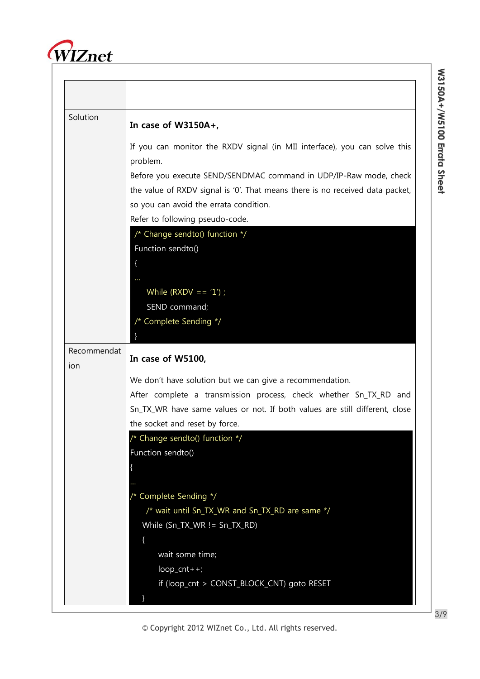

| Solution           | In case of $W3150A+$ ,                                                                |
|--------------------|---------------------------------------------------------------------------------------|
|                    | If you can monitor the RXDV signal (in MII interface), you can solve this<br>problem. |
|                    | Before you execute SEND/SENDMAC command in UDP/IP-Raw mode, check                     |
|                    | the value of RXDV signal is '0'. That means there is no received data packet,         |
|                    | so you can avoid the errata condition.                                                |
|                    | Refer to following pseudo-code.                                                       |
|                    | /* Change sendto() function */                                                        |
|                    | Function sendto()                                                                     |
|                    |                                                                                       |
|                    |                                                                                       |
|                    | While $(RXDV == '1')$ ;                                                               |
|                    | SEND command;<br>/* Complete Sending */                                               |
|                    |                                                                                       |
| Recommendat<br>ion | In case of W5100,                                                                     |
|                    | We don't have solution but we can give a recommendation.                              |
|                    | After complete a transmission process, check whether Sn_TX_RD and                     |
|                    | Sn_TX_WR have same values or not. If both values are still different, close           |
|                    | the socket and reset by force.                                                        |
|                    | /* Change sendto() function */                                                        |
|                    | Function sendto()                                                                     |
|                    |                                                                                       |
|                    | * Complete Sending */                                                                 |
|                    |                                                                                       |
|                    |                                                                                       |
|                    | /* wait until Sn_TX_WR and Sn_TX_RD are same */                                       |
|                    | While (Sn_TX_WR != Sn_TX_RD)                                                          |
|                    | wait some time;                                                                       |
|                    | $loop_cnt++;$                                                                         |
|                    | if (loop_cnt > CONST_BLOCK_CNT) goto RESET                                            |

**W** 

© Copyright 2012 WIZnet Co., Ltd. All rights reserved.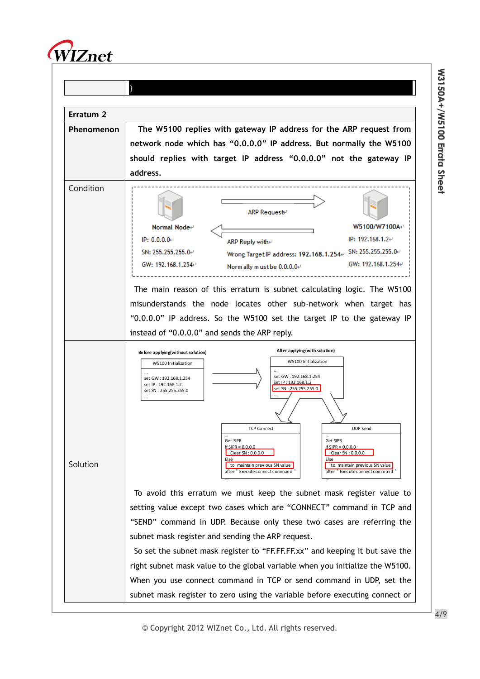



© Copyright 2012 WIZnet Co., Ltd. All rights reserved.

**W** 

**315 0 A + / W**

**510 0**

**Errata**

**S h e et**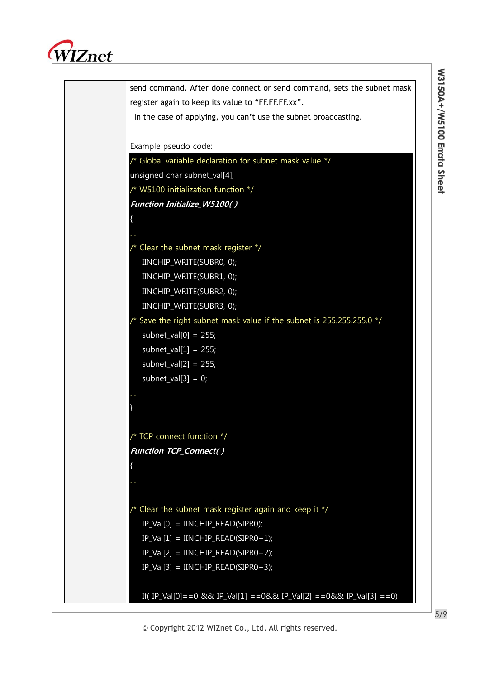

| send command. After done connect or send command, sets the subnet mask        |
|-------------------------------------------------------------------------------|
| register again to keep its value to "FF.FF.FF.xx".                            |
| In the case of applying, you can't use the subnet broadcasting.               |
|                                                                               |
| Example pseudo code:                                                          |
| /* Global variable declaration for subnet mask value */                       |
| unsigned char subnet_val[4];                                                  |
| /* W5100 initialization function */                                           |
| <b>Function Initialize_W5100()</b>                                            |
|                                                                               |
|                                                                               |
| /* Clear the subnet mask register */                                          |
| IINCHIP_WRITE(SUBR0, 0);                                                      |
| IINCHIP_WRITE(SUBR1, 0);                                                      |
| IINCHIP_WRITE(SUBR2, 0);                                                      |
| IINCHIP_WRITE(SUBR3, 0);                                                      |
| $\prime$ * Save the right subnet mask value if the subnet is 255.255.255.0 */ |
| subnet_val $[0] = 255$ ;                                                      |
| subnet_val $[1] = 255$ ;                                                      |
| subnet_val $[2] = 255$ ;                                                      |
| subnet_val[3] = $0$ ;                                                         |
|                                                                               |
|                                                                               |
|                                                                               |
| TCP connect function */                                                       |
| <b>Function TCP_Connect()</b>                                                 |
|                                                                               |
|                                                                               |
|                                                                               |
| /* Clear the subnet mask register again and keep it */                        |
| $IP\_Val[0] = INCHIP\_READ(SIPRO);$                                           |
| $IP_Val[1] = INCHIP_READ(SIPRO+1);$                                           |
| $IP_Val[2] = INCHIP_READ(SIPR0+2);$                                           |
| $IP_Val[3] = INCHIP_READ(SIPR0+3);$                                           |
|                                                                               |
| If(IP_Val[0]==0 && IP_Val[1] ==0&& IP_Val[2] ==0&& IP_Val[3] ==0)             |

5/9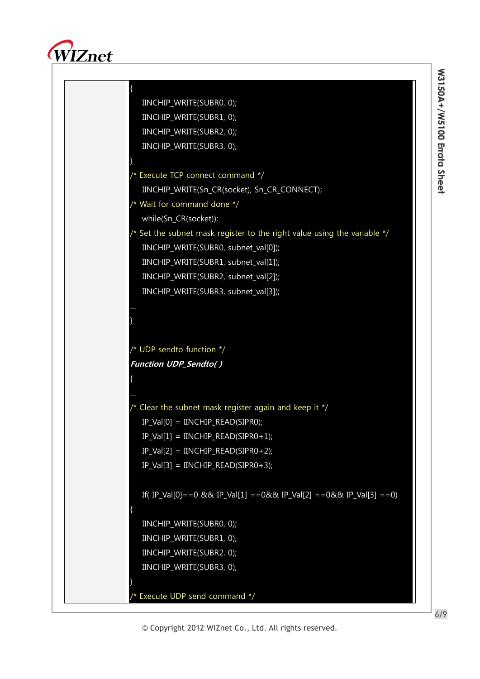

{ IINCHIP\_WRITE(SUBR0, 0); IINCHIP\_WRITE(SUBR1, 0); IINCHIP\_WRITE(SUBR2, 0); IINCHIP\_WRITE(SUBR3, 0); } /\* Execute TCP connect command \*/ IINCHIP\_WRITE(Sn\_CR(socket), Sn\_CR\_CONNECT); /\* Wait for command done \*/ while(Sn\_CR(socket)); /\* Set the subnet mask register to the right value using the variable \*/ IINCHIP\_WRITE(SUBR0, subnet\_val[0]); IINCHIP\_WRITE(SUBR1, subnet\_val[1]); IINCHIP\_WRITE(SUBR2, subnet\_val[2]); IINCHIP\_WRITE(SUBR3, subnet\_val[3]); } /\* UDP sendto function \*/ Function UDP\_Sendto( ) { /\* Clear the subnet mask register again and keep it \*/ IP\_Val[0] = IINCHIP\_READ(SIPR0);  $IP\_Val[1] = INCHIP\_READ(SIPRO+1);$  $IP\_Val[2] = INCHIP\_READ(SIPRO+2);$  $IP\_Val[3] = INCHIP\_READ(SIPR0+3);$ If( IP\_Val[0] = = 0 && IP\_Val[1] = = 0&& IP\_Val[2] = = 0&& IP\_Val[3] = = 0) {

© Copyright 2012 WIZnet Co., Ltd. All rights reserved.

IINCHIP\_WRITE(SUBR0, 0); IINCHIP\_WRITE(SUBR1, 0); IINCHIP\_WRITE(SUBR2, 0); IINCHIP\_WRITE(SUBR3, 0);

/\* Execute UDP send command \*/

}

6/9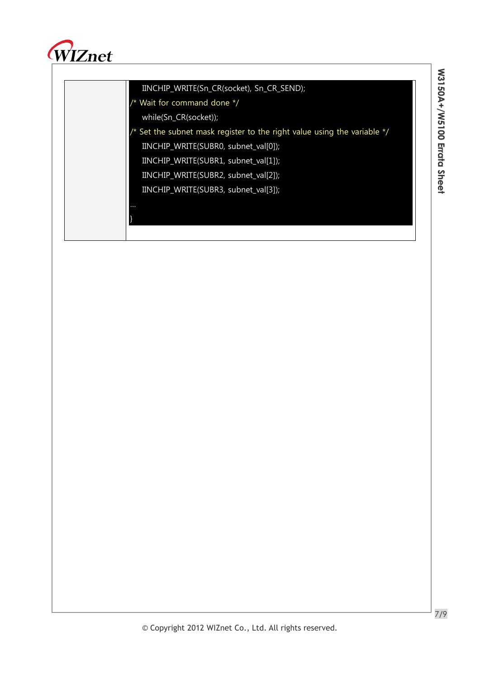

## IINCHIP\_WRITE(Sn\_CR(socket), Sn\_CR\_SEND);

/\* Wait for command done \*/

while(Sn\_CR(socket));

}

 $\frac{1}{x}$  Set the subnet mask register to the right value using the variable  $\frac{x}{x}$ 

IINCHIP\_WRITE(SUBR0, subnet\_val[0]);

IINCHIP\_WRITE(SUBR1, subnet\_val[1]);

IINCHIP\_WRITE(SUBR2, subnet\_val[2]);

IINCHIP\_WRITE(SUBR3, subnet\_val[3]);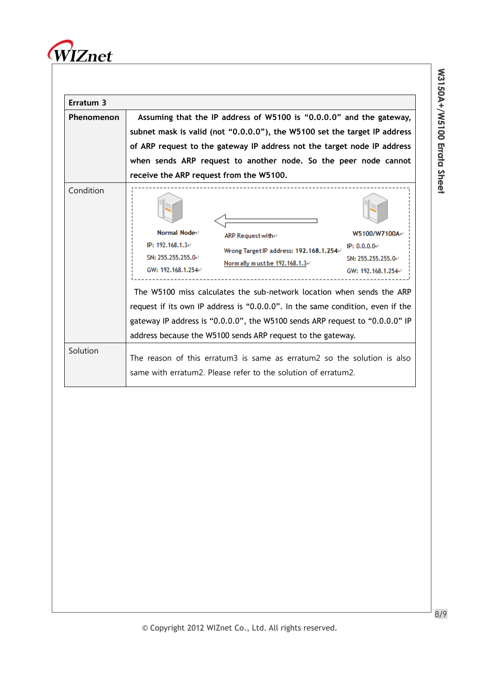

| Erratum 3  |                                                                                                                                                                                                                                                                                                                                                                                                                                                                                                                                                                                        |
|------------|----------------------------------------------------------------------------------------------------------------------------------------------------------------------------------------------------------------------------------------------------------------------------------------------------------------------------------------------------------------------------------------------------------------------------------------------------------------------------------------------------------------------------------------------------------------------------------------|
| Phenomenon | Assuming that the IP address of W5100 is "0.0.0.0" and the gateway,<br>subnet mask is valid (not "0.0.0.0"), the W5100 set the target IP address<br>of ARP request to the gateway IP address not the target node IP address<br>when sends ARP request to another node. So the peer node cannot<br>receive the ARP request from the W5100.                                                                                                                                                                                                                                              |
| Condition  | Normal Node⊬<br>W5100/W7100A+<br>ARP Request with⊬<br>IP: 192.168.1.3+<br>IP: $0.0.0.0$ <sup>e</sup><br>Wrong Target IP address: 192.168.1.254⊬<br>SN: 255.255.255.0⊬<br>SN: 255.255.255.0<br>Norm ally must be $192.168.1.3\div$<br>GW: 192.168.1.254+<br>GW: 192.168.1.254<br>The W5100 miss calculates the sub-network location when sends the ARP<br>request if its own IP address is "0.0.0.0". In the same condition, even if the<br>gateway IP address is "0.0.0.0", the W5100 sends ARP request to "0.0.0.0" IP<br>address because the W5100 sends ARP request to the gateway. |
| Solution   | The reason of this erratum3 is same as erratum2 so the solution is also<br>same with erratum2. Please refer to the solution of erratum2.                                                                                                                                                                                                                                                                                                                                                                                                                                               |